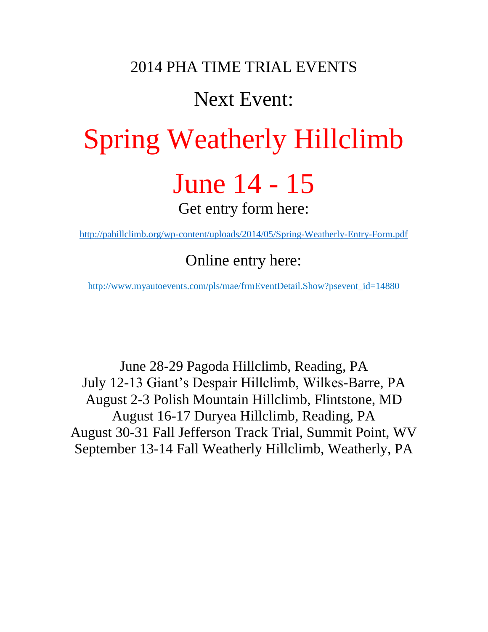## 2014 PHA TIME TRIAL EVENTS

# Next Event:

# Spring Weatherly Hillclimb June 14 - 15 Get entry form here:

<http://pahillclimb.org/wp-content/uploads/2014/05/Spring-Weatherly-Entry-Form.pdf>

Online entry here:

http://www.myautoevents.com/pls/mae/frmEventDetail.Show?psevent\_id=14880

June 28-29 Pagoda Hillclimb, Reading, PA July 12-13 Giant's Despair Hillclimb, Wilkes-Barre, PA August 2-3 Polish Mountain Hillclimb, Flintstone, MD August 16-17 Duryea Hillclimb, Reading, PA August 30-31 Fall Jefferson Track Trial, Summit Point, WV September 13-14 Fall Weatherly Hillclimb, Weatherly, PA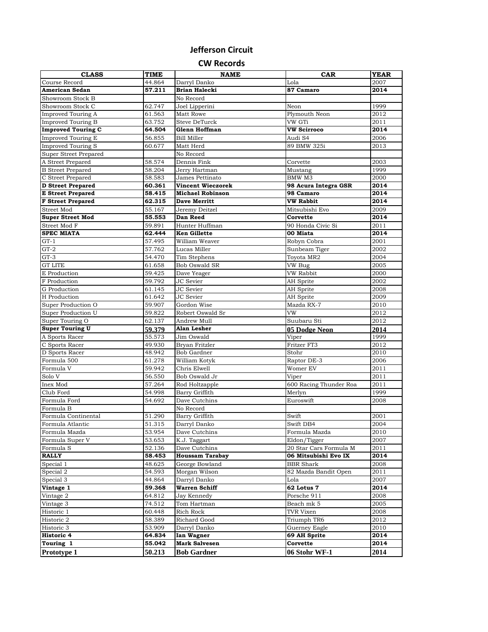#### **Jefferson Circuit**

**CW Records**

| <b>CLASS</b>                          | TIME             | <b>NAME</b>                     | CAR                    | <b>YEAR</b>  |
|---------------------------------------|------------------|---------------------------------|------------------------|--------------|
| Course Record                         | 44.864           | Darryl Danko                    | Lola                   | 2007         |
| <b>American Sedan</b>                 | 57.211           | Brian Halecki                   | 87 Camaro              | 2014         |
| Showroom Stock B                      |                  | No Record                       |                        |              |
| Showroom Stock C                      | 62.747           | Joel Lipperini                  | Neon                   | 1999         |
| <b>Improved Touring A</b>             | 61.563           | Matt Rowe                       | Plymouth Neon          | 2012         |
| <b>Improved Touring B</b>             | 63.752           | Steve DeTurck                   | VW GTi                 | 2011         |
| <b>Improved Touring C</b>             | 64.504           | Glenn Hoffman                   | <b>VW Scirroco</b>     | 2014         |
| <b>Improved Touring E</b>             | 56.855           | <b>Bill Miller</b>              | Audi S4                | 2006         |
| <b>Improved Touring S</b>             | 60.677           | Matt Herd                       | 89 BMW 325i            | 2013         |
| Super Street Prepared                 |                  | No Record                       |                        |              |
| A Street Prepared                     | 58.574           | Dennis Fink                     | Corvette               | 2003         |
| <b>B</b> Street Prepared              | 58.204           | Jerry Hartman                   | Mustang                | 1999         |
| C Street Prepared                     | 58.583           | James Pettinato                 | BMW M3                 | 2000         |
| <b>D</b> Street Prepared              | 60.361           | <b>Vincent Wieczorek</b>        | 98 Acura Integra GSR   | 2014         |
| <b>E</b> Street Prepared              | 58.415           | <b>Michael Robinson</b>         | 98 Camaro              | 2014         |
| <b>F</b> Street Prepared              | 62.315           | <b>Dave Merritt</b>             | <b>VW Rabbit</b>       | 2014         |
| Street Mod                            | 55.167           | Jeremy Deitzel                  | Mitsubishi Evo         | 2009         |
| <b>Super Street Mod</b>               | 55.553           | Dan Reed                        | Corvette               | 2014         |
| Street Mod F                          | 59.891           | Hunter Huffman                  | 90 Honda Civic Si      | 2011         |
| <b>SPEC MIATA</b>                     | 62.444           | <b>Ken Gillette</b>             | 00 Miata               | 2014         |
| $GT-1$                                | 57.495           | William Weaver                  | Robyn Cobra            | 2001         |
| $GT-2$                                | 57.762           | Lucas Miller                    | Sunbeam Tiger          | 2002         |
| $GT-3$                                | 54.470           | Tim Stephens                    | Toyota MR2             | 2004         |
| <b>GT LITE</b>                        | 61.658           | <b>Bob Oswald SR</b>            | VW Bug                 | 2005         |
| E Production                          | 59.425           | Dave Yeager                     | VW Rabbit              | 2000         |
| F Production                          | 59.792           | JC Sevier                       | AH Sprite              | 2002         |
| G Production                          | 61.145           | JC Sevier                       | AH Sprite              | 2008         |
| H Production                          | 61.642           | JC Sevier                       | AH Sprite              | 2009         |
| Super Production O                    | 59.907           | Gordon Wise                     | Mazda RX-7<br>VW       | 2010         |
| Super Production U<br>Super Touring O | 59.822           | Robert Oswald Sr<br>Andrew Mull | Suubaru Sti            | 2012<br>2012 |
| <b>Super Touring U</b>                | 62.137           | Alan Lesher                     |                        |              |
| A Sports Racer                        | 59.379<br>55.573 | Jim Oswald                      | 05 Dodge Neon<br>Viper | 2014<br>1999 |
| C Sports Racer                        | 49.930           | Bryan Fritzler                  | Fritzer FT3            | 2012         |
| D Sports Racer                        | 48.942           | Bob Gardner                     | Stohr                  | 2010         |
| Formula 500                           | 61.278           | William Kotyk                   | Raptor DE-3            | 2006         |
| Formula V                             | 59.942           | Chris Elwell                    | Womer EV               | 2011         |
| Solo V                                | 56.550           | Bob Oswald Jr                   | Viper                  | 2011         |
| Inex Mod                              | 57.264           | Rod Holtzapple                  | 600 Racing Thunder Roa | 2011         |
| Club Ford                             | 54.998           | Barry Griffith                  | Merlyn                 | 1999         |
| Formula Ford                          | 54.692           | Dave Cutchins                   | Euroswift              | 2008         |
| Formula B                             |                  | No Record                       |                        |              |
| Formula Continental                   | 51.290           | Barry Griffith                  | Swift                  | 2001         |
| Formula Atlantic                      | 51.315           | Darryl Danko                    | Swift DB4              | 2004         |
| Formula Mazda                         | 53.954           | Dave Cutchins                   | Formula Mazda          | 2010         |
| Formula Super V                       | 53.653           | K.J. Taggart                    | Eldon/Tigger           | 2007         |
| Formula S                             | 52.136           | Dave Cutchins                   | 20 Star Cars Formula M | 2011         |
| <b>RALLY</b>                          | 58.453           | <b>Houssam Tarabay</b>          | 06 Mitsubishi Evo IX   | 2014         |
| Special 1                             | 48.625           | George Bowland                  | <b>BBR</b> Shark       | 2008         |
| Special 2                             | 54.593           | Morgan Wilson                   | 82 Mazda Bandit Open   | 2011         |
| Special 3                             | 44.864           | Darryl Danko                    | Lola                   | 2007         |
| Vintage 1                             | 59.368           | <b>Warren Schiff</b>            | 62 Lotus 7             | 2014         |
| Vintage 2                             | 64.812           | Jay Kennedy                     | Porsche 911            | 2008         |
| Vintage 3                             | 74.512           | Tom Hartman                     | Beach mk 5             | 2005         |
| Historic 1                            | 60.448           | Rich Rock                       | TVR Vixen              | 2008         |
| Historic 2                            | 58.389           | Richard Good                    | Triumph TR6            | 2012         |
| Historic 3                            | 53.909           | Darryl Danko                    | Guerney Eagle          | 2010         |
| Historic 4                            | 64.834           | Ian Wagner                      | 69 AH Sprite           | 2014         |
| Touring 1                             | 55.042           | <b>Mark Salvesen</b>            | Corvette               | 2014         |
| Prototype 1                           | 50.213           | <b>Bob Gardner</b>              | 06 Stohr WF-1          | 2014         |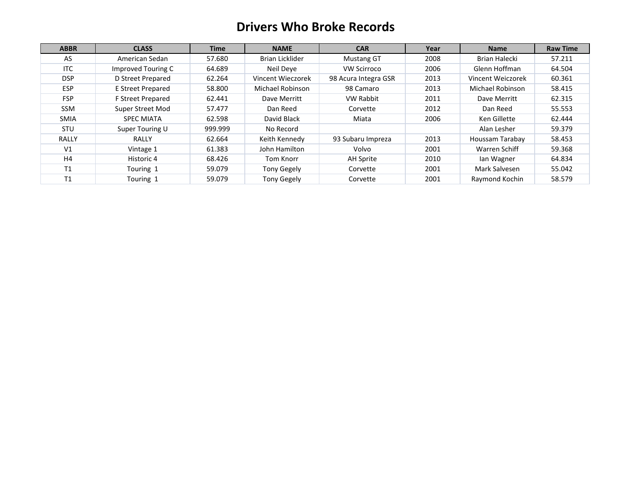### **Drivers Who Broke Records**

| <b>ABBR</b>    | <b>CLASS</b>             | <b>Time</b> | <b>NAME</b>        | <b>CAR</b>           | Year | <b>Name</b>       | <b>Raw Time</b> |
|----------------|--------------------------|-------------|--------------------|----------------------|------|-------------------|-----------------|
| AS             | American Sedan           | 57.680      | Brian Licklider    | <b>Mustang GT</b>    | 2008 | Brian Halecki     | 57.211          |
| <b>ITC</b>     | Improved Touring C       | 64.689      | Neil Deve          | <b>VW Scirroco</b>   | 2006 | Glenn Hoffman     | 64.504          |
| <b>DSP</b>     | D Street Prepared        | 62.264      | Vincent Wieczorek  | 98 Acura Integra GSR | 2013 | Vincent Weiczorek | 60.361          |
| <b>ESP</b>     | <b>E Street Prepared</b> | 58.800      | Michael Robinson   | 98 Camaro            | 2013 | Michael Robinson  | 58.415          |
| <b>FSP</b>     | F Street Prepared        | 62.441      | Dave Merritt       | <b>VW Rabbit</b>     | 2011 | Dave Merritt      | 62.315          |
| <b>SSM</b>     | Super Street Mod         | 57.477      | Dan Reed           | Corvette             | 2012 | Dan Reed          | 55.553          |
| <b>SMIA</b>    | <b>SPEC MIATA</b>        | 62.598      | David Black        | Miata                | 2006 | Ken Gillette      | 62.444          |
| <b>STU</b>     | Super Touring U          | 999.999     | No Record          |                      |      | Alan Lesher       | 59.379          |
| <b>RALLY</b>   | RALLY                    | 62.664      | Keith Kennedy      | 93 Subaru Impreza    | 2013 | Houssam Tarabay   | 58.453          |
| V <sub>1</sub> | Vintage 1                | 61.383      | John Hamilton      | Volvo                | 2001 | Warren Schiff     | 59.368          |
| H <sub>4</sub> | Historic 4               | 68.426      | Tom Knorr          | AH Sprite            | 2010 | lan Wagner        | 64.834          |
| <b>T1</b>      | Touring 1                | 59.079      | Tony Gegely        | Corvette             | 2001 | Mark Salvesen     | 55.042          |
| T1             | Touring 1                | 59.079      | <b>Tony Gegely</b> | Corvette             | 2001 | Raymond Kochin    | 58.579          |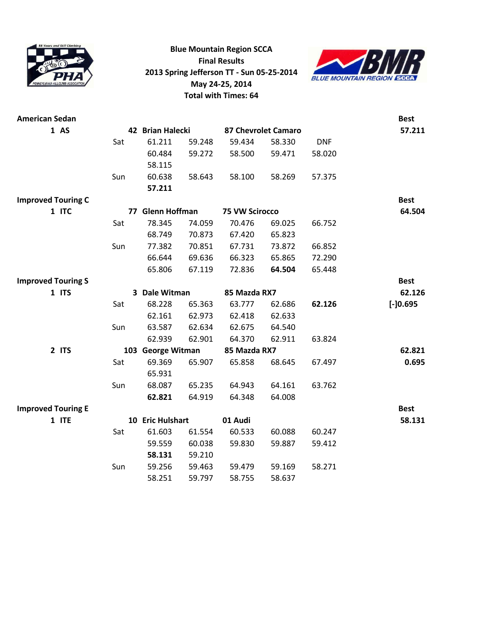

**Blue Mountain Region SCCA Final Results 2013 Spring Jefferson TT - Sun 05-25-2014 May 24-25, 2014 Total with Times: 64**



| <b>American Sedan</b>     |     |                   |        |                       |                     |            | <b>Best</b> |
|---------------------------|-----|-------------------|--------|-----------------------|---------------------|------------|-------------|
| 1 A5                      |     | 42 Brian Halecki  |        |                       | 87 Chevrolet Camaro |            | 57.211      |
|                           | Sat | 61.211            | 59.248 | 59.434                | 58.330              | <b>DNF</b> |             |
|                           |     | 60.484            | 59.272 | 58.500                | 59.471              | 58.020     |             |
|                           |     | 58.115            |        |                       |                     |            |             |
|                           | Sun | 60.638            | 58.643 | 58.100                | 58.269              | 57.375     |             |
|                           |     | 57.211            |        |                       |                     |            |             |
| <b>Improved Touring C</b> |     |                   |        |                       |                     |            | <b>Best</b> |
| 1 ITC                     |     | 77 Glenn Hoffman  |        | <b>75 VW Scirocco</b> |                     |            | 64.504      |
|                           | Sat | 78.345            | 74.059 | 70.476                | 69.025              | 66.752     |             |
|                           |     | 68.749            | 70.873 | 67.420                | 65.823              |            |             |
|                           | Sun | 77.382            | 70.851 | 67.731                | 73.872              | 66.852     |             |
|                           |     | 66.644            | 69.636 | 66.323                | 65.865              | 72.290     |             |
|                           |     | 65.806            | 67.119 | 72.836                | 64.504              | 65.448     |             |
| <b>Improved Touring S</b> |     |                   |        |                       |                     |            | <b>Best</b> |
| 1 ITS                     |     | 3 Dale Witman     |        | 85 Mazda RX7          |                     |            | 62.126      |
|                           | Sat | 68.228            | 65.363 | 63.777                | 62.686              | 62.126     | $[-]0.695$  |
|                           |     | 62.161            | 62.973 | 62.418                | 62.633              |            |             |
|                           | Sun | 63.587            | 62.634 | 62.675                | 64.540              |            |             |
|                           |     | 62.939            | 62.901 | 64.370                | 62.911              | 63.824     |             |
| 2 ITS                     |     | 103 George Witman |        | 85 Mazda RX7          |                     |            | 62.821      |
|                           | Sat | 69.369            | 65.907 | 65.858                | 68.645              | 67.497     | 0.695       |
|                           |     | 65.931            |        |                       |                     |            |             |
|                           | Sun | 68.087            | 65.235 | 64.943                | 64.161              | 63.762     |             |
|                           |     | 62.821            | 64.919 | 64.348                | 64.008              |            |             |
| <b>Improved Touring E</b> |     |                   |        |                       |                     |            | <b>Best</b> |
| 1 ITE                     |     | 10 Eric Hulshart  |        | 01 Audi               |                     |            | 58.131      |
|                           | Sat | 61.603            | 61.554 | 60.533                | 60.088              | 60.247     |             |
|                           |     | 59.559            | 60.038 | 59.830                | 59.887              | 59.412     |             |
|                           |     | 58.131            | 59.210 |                       |                     |            |             |
|                           | Sun | 59.256            | 59.463 | 59.479                | 59.169              | 58.271     |             |
|                           |     | 58.251            | 59.797 | 58.755                | 58.637              |            |             |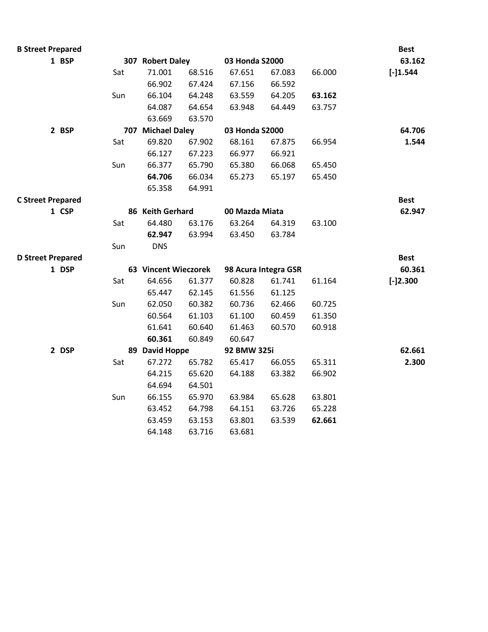| <b>B Street Prepared</b> |     |                      |        |                |                      |        | <b>Best</b> |
|--------------------------|-----|----------------------|--------|----------------|----------------------|--------|-------------|
| 1 BSP                    |     | 307 Robert Daley     |        | 03 Honda S2000 |                      |        | 63.162      |
|                          | Sat | 71.001               | 68.516 | 67.651         | 67.083               | 66.000 | $[-]1.544$  |
|                          |     | 66.902               | 67.424 | 67.156         | 66.592               |        |             |
|                          | Sun | 66.104               | 64.248 | 63.559         | 64.205               | 63.162 |             |
|                          |     | 64.087               | 64.654 | 63.948         | 64.449               | 63.757 |             |
|                          |     | 63.669               | 63.570 |                |                      |        |             |
| 2 BSP                    |     | 707 Michael Daley    |        | 03 Honda S2000 |                      |        | 64.706      |
|                          | Sat | 69.820               | 67.902 | 68.161         | 67.875               | 66.954 | 1.544       |
|                          |     | 66.127               | 67.223 | 66.977         | 66.921               |        |             |
|                          | Sun | 66.377               | 65.790 | 65.380         | 66.068               | 65.450 |             |
|                          |     | 64.706               | 66.034 | 65.273         | 65.197               | 65.450 |             |
|                          |     | 65.358               | 64.991 |                |                      |        |             |
| <b>C Street Prepared</b> |     |                      |        |                |                      |        | <b>Best</b> |
| 1 CSP                    |     | 86 Keith Gerhard     |        | 00 Mazda Miata |                      |        | 62.947      |
|                          | Sat | 64.480               | 63.176 | 63.264         | 64.319               | 63.100 |             |
|                          |     | 62.947               | 63.994 | 63.450         | 63.784               |        |             |
|                          | Sun | <b>DNS</b>           |        |                |                      |        |             |
| <b>D Street Prepared</b> |     |                      |        |                |                      |        | <b>Best</b> |
| 1 DSP                    |     | 63 Vincent Wieczorek |        |                | 98 Acura Integra GSR |        | 60.361      |
|                          | Sat | 64.656               | 61.377 | 60.828         | 61.741               | 61.164 | $[-]2.300$  |
|                          |     | 65.447               | 62.145 | 61.556         | 61.125               |        |             |
|                          | Sun | 62.050               | 60.382 | 60.736         | 62.466               | 60.725 |             |
|                          |     | 60.564               | 61.103 | 61.100         | 60.459               | 61.350 |             |
|                          |     | 61.641               | 60.640 | 61.463         | 60.570               | 60.918 |             |
|                          |     | 60.361               | 60.849 | 60.647         |                      |        |             |
| 2 DSP                    |     | 89 David Hoppe       |        | 92 BMW 325i    |                      |        | 62.661      |
|                          | Sat | 67.272               | 65.782 | 65.417         | 66.055               | 65.311 | 2.300       |
|                          |     | 64.215               | 65.620 | 64.188         | 63.382               | 66.902 |             |
|                          |     | 64.694               | 64.501 |                |                      |        |             |
|                          | Sun | 66.155               | 65.970 | 63.984         | 65.628               | 63.801 |             |
|                          |     | 63.452               | 64.798 | 64.151         | 63.726               | 65.228 |             |
|                          |     | 63.459               | 63.153 | 63.801         | 63.539               | 62.661 |             |
|                          |     | 64.148               | 63.716 | 63.681         |                      |        |             |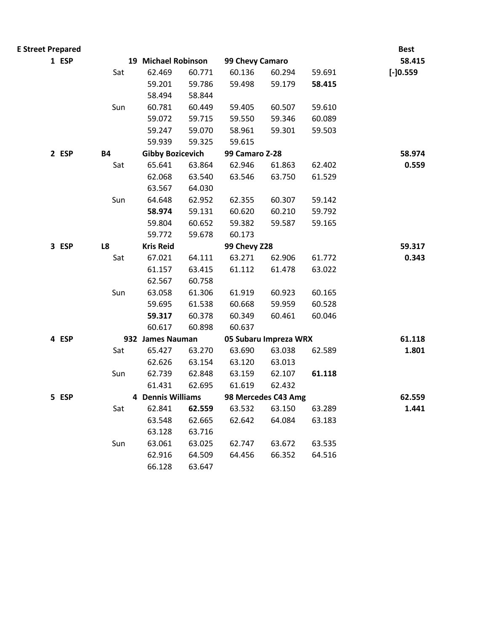| <b>E Street Prepared</b> |           |                         |        |                 |                       |        | <b>Best</b> |
|--------------------------|-----------|-------------------------|--------|-----------------|-----------------------|--------|-------------|
| 1 ESP                    |           | 19 Michael Robinson     |        | 99 Chevy Camaro |                       |        | 58.415      |
|                          | Sat       | 62.469                  | 60.771 | 60.136          | 60.294                | 59.691 | $[-]0.559$  |
|                          |           | 59.201                  | 59.786 | 59.498          | 59.179                | 58.415 |             |
|                          |           | 58.494                  | 58.844 |                 |                       |        |             |
|                          | Sun       | 60.781                  | 60.449 | 59.405          | 60.507                | 59.610 |             |
|                          |           | 59.072                  | 59.715 | 59.550          | 59.346                | 60.089 |             |
|                          |           | 59.247                  | 59.070 | 58.961          | 59.301                | 59.503 |             |
|                          |           | 59.939                  | 59.325 | 59.615          |                       |        |             |
| 2 ESP                    | <b>B4</b> | <b>Gibby Bozicevich</b> |        | 99 Camaro Z-28  |                       |        | 58.974      |
|                          | Sat       | 65.641                  | 63.864 | 62.946          | 61.863                | 62.402 | 0.559       |
|                          |           | 62.068                  | 63.540 | 63.546          | 63.750                | 61.529 |             |
|                          |           | 63.567                  | 64.030 |                 |                       |        |             |
|                          | Sun       | 64.648                  | 62.952 | 62.355          | 60.307                | 59.142 |             |
|                          |           | 58.974                  | 59.131 | 60.620          | 60.210                | 59.792 |             |
|                          |           | 59.804                  | 60.652 | 59.382          | 59.587                | 59.165 |             |
|                          |           | 59.772                  | 59.678 | 60.173          |                       |        |             |
| 3 ESP                    | L8        | <b>Kris Reid</b>        |        | 99 Chevy Z28    |                       |        | 59.317      |
|                          | Sat       | 67.021                  | 64.111 | 63.271          | 62.906                | 61.772 | 0.343       |
|                          |           | 61.157                  | 63.415 | 61.112          | 61.478                | 63.022 |             |
|                          |           | 62.567                  | 60.758 |                 |                       |        |             |
|                          | Sun       | 63.058                  | 61.306 | 61.919          | 60.923                | 60.165 |             |
|                          |           | 59.695                  | 61.538 | 60.668          | 59.959                | 60.528 |             |
|                          |           | 59.317                  | 60.378 | 60.349          | 60.461                | 60.046 |             |
|                          |           | 60.617                  | 60.898 | 60.637          |                       |        |             |
| 4 ESP                    |           | 932 James Nauman        |        |                 | 05 Subaru Impreza WRX |        | 61.118      |
|                          | Sat       | 65.427                  | 63.270 | 63.690          | 63.038                | 62.589 | 1.801       |
|                          |           | 62.626                  | 63.154 | 63.120          | 63.013                |        |             |
|                          | Sun       | 62.739                  | 62.848 | 63.159          | 62.107                | 61.118 |             |
|                          |           | 61.431                  | 62.695 | 61.619          | 62.432                |        |             |
| 5 ESP                    |           | 4 Dennis Williams       |        |                 | 98 Mercedes C43 Amg   |        | 62.559      |
|                          | Sat       | 62.841                  | 62.559 | 63.532          | 63.150                | 63.289 | 1.441       |
|                          |           | 63.548                  | 62.665 | 62.642          | 64.084                | 63.183 |             |
|                          |           | 63.128                  | 63.716 |                 |                       |        |             |
|                          | Sun       | 63.061                  | 63.025 | 62.747          | 63.672                | 63.535 |             |
|                          |           | 62.916                  | 64.509 | 64.456          | 66.352                | 64.516 |             |
|                          |           | 66.128                  | 63.647 |                 |                       |        |             |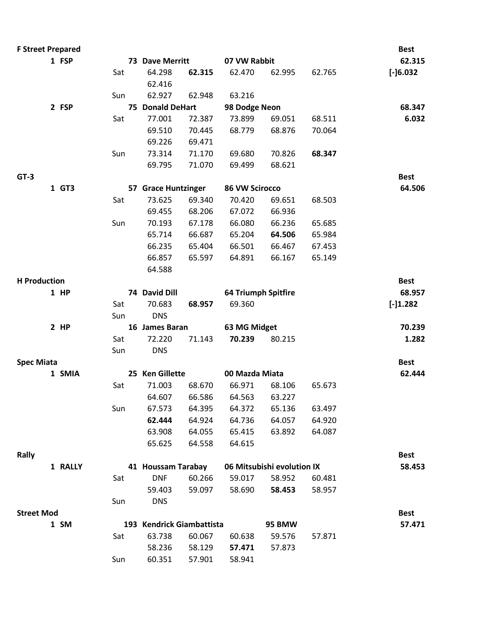| <b>F Street Prepared</b> |         |     |                           |        |                            |                            |        | <b>Best</b>  |
|--------------------------|---------|-----|---------------------------|--------|----------------------------|----------------------------|--------|--------------|
|                          | 1 FSP   |     | 73 Dave Merritt           |        | 07 VW Rabbit               |                            |        | 62.315       |
|                          |         | Sat | 64.298                    | 62.315 | 62.470                     | 62.995                     | 62.765 | $[-] 6.032]$ |
|                          |         |     | 62.416                    |        |                            |                            |        |              |
|                          |         | Sun | 62.927                    | 62.948 | 63.216                     |                            |        |              |
|                          | 2 FSP   |     | 75 Donald DeHart          |        | 98 Dodge Neon              |                            |        | 68.347       |
|                          |         | Sat | 77.001                    | 72.387 | 73.899                     | 69.051                     | 68.511 | 6.032        |
|                          |         |     | 69.510                    | 70.445 | 68.779                     | 68.876                     | 70.064 |              |
|                          |         |     | 69.226                    | 69.471 |                            |                            |        |              |
|                          |         | Sun | 73.314                    | 71.170 | 69.680                     | 70.826                     | 68.347 |              |
|                          |         |     | 69.795                    | 71.070 | 69.499                     | 68.621                     |        |              |
| $GT-3$                   |         |     |                           |        |                            |                            |        | <b>Best</b>  |
|                          | 1 GT3   |     | 57 Grace Huntzinger       |        | 86 VW Scirocco             |                            |        | 64.506       |
|                          |         | Sat | 73.625                    | 69.340 | 70.420                     | 69.651                     | 68.503 |              |
|                          |         |     | 69.455                    | 68.206 | 67.072                     | 66.936                     |        |              |
|                          |         | Sun | 70.193                    | 67.178 | 66.080                     | 66.236                     | 65.685 |              |
|                          |         |     | 65.714                    | 66.687 | 65.204                     | 64.506                     | 65.984 |              |
|                          |         |     | 66.235                    | 65.404 | 66.501                     | 66.467                     | 67.453 |              |
|                          |         |     | 66.857                    | 65.597 | 64.891                     | 66.167                     | 65.149 |              |
|                          |         |     | 64.588                    |        |                            |                            |        |              |
| <b>H</b> Production      |         |     |                           |        |                            |                            |        | <b>Best</b>  |
|                          | 1 HP    |     | 74 David Dill             |        | <b>64 Triumph Spitfire</b> |                            |        | 68.957       |
|                          |         | Sat | 70.683                    | 68.957 | 69.360                     |                            |        | $[-]1.282$   |
|                          |         | Sun | <b>DNS</b>                |        |                            |                            |        |              |
|                          | $2$ HP  |     | 16 James Baran            |        | 63 MG Midget               |                            |        | 70.239       |
|                          |         | Sat | 72.220                    | 71.143 | 70.239                     | 80.215                     |        | 1.282        |
|                          |         | Sun | <b>DNS</b>                |        |                            |                            |        |              |
| <b>Spec Miata</b>        |         |     |                           |        |                            |                            |        | <b>Best</b>  |
|                          | 1 SMIA  |     | 25 Ken Gillette           |        | 00 Mazda Miata             |                            |        | 62.444       |
|                          |         | Sat | 71.003                    | 68.670 | 66.971                     | 68.106                     | 65.673 |              |
|                          |         |     | 64.607                    | 66.586 | 64.563                     | 63.227                     |        |              |
|                          |         | Sun | 67.573                    | 64.395 | 64.372                     | 65.136                     | 63.497 |              |
|                          |         |     | 62.444                    | 64.924 | 64.736                     | 64.057                     | 64.920 |              |
|                          |         |     | 63.908                    | 64.055 | 65.415                     | 63.892                     | 64.087 |              |
|                          |         |     | 65.625                    | 64.558 | 64.615                     |                            |        |              |
| Rally                    |         |     |                           |        |                            |                            |        | <b>Best</b>  |
|                          | 1 RALLY |     | 41 Houssam Tarabay        |        |                            | 06 Mitsubishi evolution IX |        | 58.453       |
|                          |         | Sat | <b>DNF</b>                | 60.266 | 59.017                     | 58.952                     | 60.481 |              |
|                          |         |     | 59.403                    | 59.097 | 58.690                     | 58.453                     | 58.957 |              |
|                          |         | Sun | <b>DNS</b>                |        |                            |                            |        |              |
| <b>Street Mod</b>        |         |     |                           |        |                            |                            |        | <b>Best</b>  |
|                          | 1 SM    |     | 193 Kendrick Giambattista |        |                            | 95 BMW                     |        | 57.471       |
|                          |         | Sat | 63.738                    | 60.067 | 60.638                     | 59.576                     | 57.871 |              |
|                          |         |     | 58.236                    | 58.129 | 57.471                     | 57.873                     |        |              |
|                          |         | Sun | 60.351                    | 57.901 | 58.941                     |                            |        |              |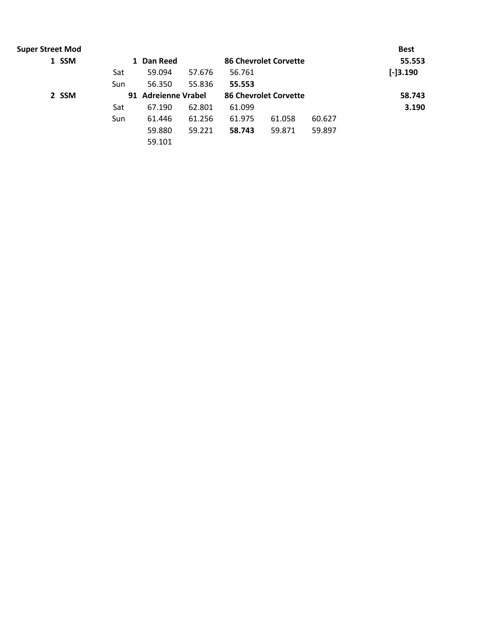| <b>Super Street Mod</b> |     |                     |        |        |                              |        | <b>Best</b> |
|-------------------------|-----|---------------------|--------|--------|------------------------------|--------|-------------|
| 1 SSM                   |     | Dan Reed<br>1       |        |        | <b>86 Chevrolet Corvette</b> |        | 55.553      |
|                         | Sat | 59.094              | 57.676 | 56.761 |                              |        | $[-]3.190$  |
|                         | Sun | 56.350              | 55.836 | 55.553 |                              |        |             |
| 2 SSM                   |     | 91 Adreienne Vrabel |        |        | <b>86 Chevrolet Corvette</b> |        | 58.743      |
|                         | Sat | 67.190              | 62.801 | 61.099 |                              |        | 3.190       |
|                         | Sun | 61.446              | 61.256 | 61.975 | 61.058                       | 60.627 |             |
|                         |     | 59.880              | 59.221 | 58.743 | 59.871                       | 59.897 |             |
|                         |     | 59.101              |        |        |                              |        |             |
|                         |     |                     |        |        |                              |        |             |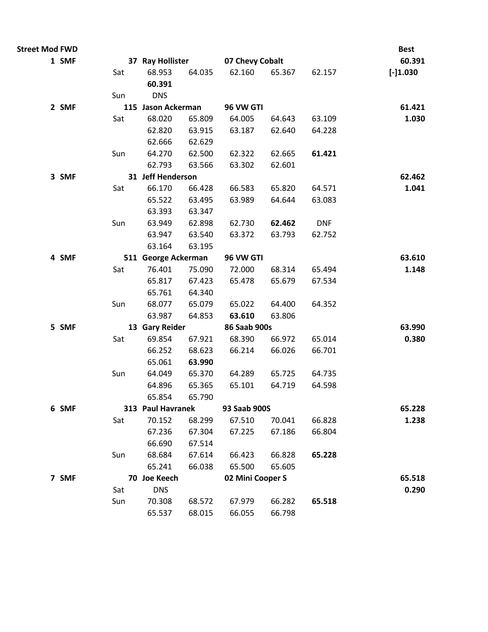| <b>Street Mod FWD</b> |       |     |                     |                  |                  |                  |                  | <b>Best</b> |
|-----------------------|-------|-----|---------------------|------------------|------------------|------------------|------------------|-------------|
|                       | 1 SMF |     | 37 Ray Hollister    |                  | 07 Chevy Cobalt  |                  |                  | 60.391      |
|                       |       | Sat | 68.953              | 64.035           | 62.160           | 65.367           | 62.157           | $[-]1.030$  |
|                       |       |     | 60.391              |                  |                  |                  |                  |             |
|                       |       | Sun | <b>DNS</b>          |                  |                  |                  |                  |             |
|                       | 2 SMF |     | 115 Jason Ackerman  |                  | 96 VW GTI        |                  |                  | 61.421      |
|                       |       | Sat | 68.020              | 65.809           | 64.005           | 64.643           | 63.109           | 1.030       |
|                       |       |     | 62.820              | 63.915           | 63.187           | 62.640           | 64.228           |             |
|                       |       |     | 62.666              | 62.629           |                  |                  |                  |             |
|                       |       | Sun | 64.270              | 62.500           | 62.322           | 62.665           | 61.421           |             |
|                       |       |     | 62.793              | 63.566           | 63.302           | 62.601           |                  |             |
|                       | 3 SMF |     | 31 Jeff Henderson   |                  |                  |                  |                  | 62.462      |
|                       |       | Sat | 66.170              | 66.428           | 66.583           | 65.820           | 64.571           | 1.041       |
|                       |       |     | 65.522              | 63.495           | 63.989           | 64.644           | 63.083           |             |
|                       |       |     | 63.393              | 63.347           |                  |                  |                  |             |
|                       |       | Sun | 63.949              | 62.898           | 62.730           | 62.462           | <b>DNF</b>       |             |
|                       |       |     | 63.947              | 63.540           | 63.372           | 63.793           | 62.752           |             |
|                       |       |     | 63.164              | 63.195           |                  |                  |                  |             |
|                       | 4 SMF |     | 511 George Ackerman |                  | 96 VW GTI        |                  |                  | 63.610      |
|                       |       | Sat | 76.401              | 75.090           | 72.000           | 68.314           | 65.494           | 1.148       |
|                       |       |     | 65.817              | 67.423           | 65.478           | 65.679           | 67.534           |             |
|                       |       |     | 65.761              | 64.340           |                  |                  |                  |             |
|                       |       | Sun | 68.077              | 65.079           | 65.022           | 64.400           | 64.352           |             |
|                       |       |     | 63.987              | 64.853           | 63.610           | 63.806           |                  |             |
|                       | 5 SMF |     | 13 Gary Reider      |                  | 86 Saab 900s     |                  |                  | 63.990      |
|                       |       | Sat | 69.854              | 67.921           | 68.390           | 66.972<br>66.026 | 65.014<br>66.701 | 0.380       |
|                       |       |     | 66.252<br>65.061    | 68.623<br>63.990 | 66.214           |                  |                  |             |
|                       |       | Sun | 64.049              | 65.370           | 64.289           | 65.725           | 64.735           |             |
|                       |       |     | 64.896              | 65.365           | 65.101           | 64.719           | 64.598           |             |
|                       |       |     | 65.854              | 65.790           |                  |                  |                  |             |
|                       | 6 SMF |     | 313 Paul Havranek   |                  | 93 Saab 900S     |                  |                  | 65.228      |
|                       |       | Sat | 70.152              | 68.299           | 67.510           | 70.041           | 66.828           | 1.238       |
|                       |       |     | 67.236              | 67.304           | 67.225           | 67.186           | 66.804           |             |
|                       |       |     | 66.690              | 67.514           |                  |                  |                  |             |
|                       |       | Sun | 68.684              | 67.614           | 66.423           | 66.828           | 65.228           |             |
|                       |       |     | 65.241              | 66.038           | 65.500           | 65.605           |                  |             |
|                       | 7 SMF |     | 70 Joe Keech        |                  | 02 Mini Cooper S |                  |                  | 65.518      |
|                       |       | Sat | <b>DNS</b>          |                  |                  |                  |                  | 0.290       |
|                       |       | Sun | 70.308              | 68.572           | 67.979           | 66.282           | 65.518           |             |
|                       |       |     | 65.537              | 68.015           | 66.055           | 66.798           |                  |             |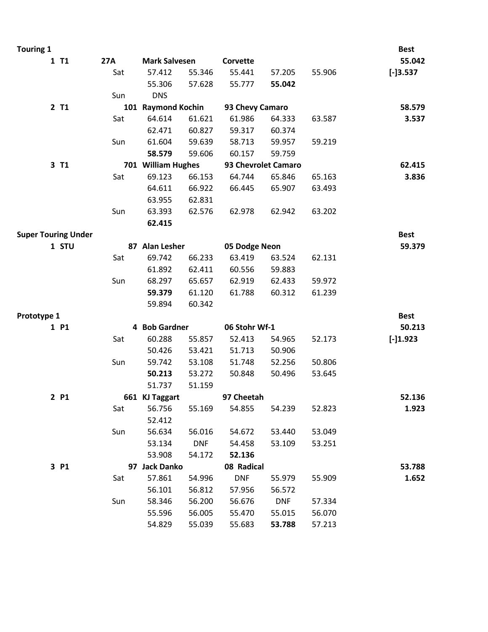| <b>Touring 1</b>           |     |                      |            |                     |            |        | <b>Best</b> |
|----------------------------|-----|----------------------|------------|---------------------|------------|--------|-------------|
| 1 T1                       | 27A | <b>Mark Salvesen</b> |            | Corvette            |            |        | 55.042      |
|                            | Sat | 57.412               | 55.346     | 55.441              | 57.205     | 55.906 | $[-]3.537$  |
|                            |     | 55.306               | 57.628     | 55.777              | 55.042     |        |             |
|                            | Sun | <b>DNS</b>           |            |                     |            |        |             |
| 2 T1                       |     | 101 Raymond Kochin   |            | 93 Chevy Camaro     |            |        | 58.579      |
|                            | Sat | 64.614               | 61.621     | 61.986              | 64.333     | 63.587 | 3.537       |
|                            |     | 62.471               | 60.827     | 59.317              | 60.374     |        |             |
|                            | Sun | 61.604               | 59.639     | 58.713              | 59.957     | 59.219 |             |
|                            |     | 58.579               | 59.606     | 60.157              | 59.759     |        |             |
| 3 T1                       |     | 701 William Hughes   |            | 93 Chevrolet Camaro |            |        | 62.415      |
|                            | Sat | 69.123               | 66.153     | 64.744              | 65.846     | 65.163 | 3.836       |
|                            |     | 64.611               | 66.922     | 66.445              | 65.907     | 63.493 |             |
|                            |     | 63.955               | 62.831     |                     |            |        |             |
|                            | Sun | 63.393               | 62.576     | 62.978              | 62.942     | 63.202 |             |
|                            |     | 62.415               |            |                     |            |        |             |
| <b>Super Touring Under</b> |     |                      |            |                     |            |        | <b>Best</b> |
| 1 STU                      |     | 87 Alan Lesher       |            | 05 Dodge Neon       |            |        | 59.379      |
|                            | Sat | 69.742               | 66.233     | 63.419              | 63.524     | 62.131 |             |
|                            |     | 61.892               | 62.411     | 60.556              | 59.883     |        |             |
|                            | Sun | 68.297               | 65.657     | 62.919              | 62.433     | 59.972 |             |
|                            |     | 59.379               | 61.120     | 61.788              | 60.312     | 61.239 |             |
|                            |     | 59.894               | 60.342     |                     |            |        |             |
| Prototype 1                |     |                      |            |                     |            |        | <b>Best</b> |
| 1 P1                       |     | 4 Bob Gardner        |            | 06 Stohr Wf-1       |            |        | 50.213      |
|                            | Sat | 60.288               | 55.857     | 52.413              | 54.965     | 52.173 | $[-]1.923$  |
|                            |     | 50.426               | 53.421     | 51.713              | 50.906     |        |             |
|                            | Sun | 59.742               | 53.108     | 51.748              | 52.256     | 50.806 |             |
|                            |     | 50.213               | 53.272     | 50.848              | 50.496     | 53.645 |             |
|                            |     | 51.737               | 51.159     |                     |            |        |             |
| 2 P1                       |     | 661 KJ Taggart       |            | 97 Cheetah          |            |        | 52.136      |
|                            | Sat | 56.756               | 55.169     | 54.855              | 54.239     | 52.823 | 1.923       |
|                            |     | 52.412               |            |                     |            |        |             |
|                            | Sun | 56.634               | 56.016     | 54.672              | 53.440     | 53.049 |             |
|                            |     | 53.134               | <b>DNF</b> | 54.458              | 53.109     | 53.251 |             |
|                            |     | 53.908               | 54.172     | 52.136              |            |        |             |
| 3 P1                       |     | 97 Jack Danko        |            | 08 Radical          |            |        | 53.788      |
|                            | Sat | 57.861               | 54.996     | <b>DNF</b>          | 55.979     | 55.909 | 1.652       |
|                            |     | 56.101               | 56.812     | 57.956              | 56.572     |        |             |
|                            | Sun | 58.346               | 56.200     | 56.676              | <b>DNF</b> | 57.334 |             |
|                            |     | 55.596               | 56.005     | 55.470              | 55.015     | 56.070 |             |
|                            |     | 54.829               | 55.039     | 55.683              | 53.788     | 57.213 |             |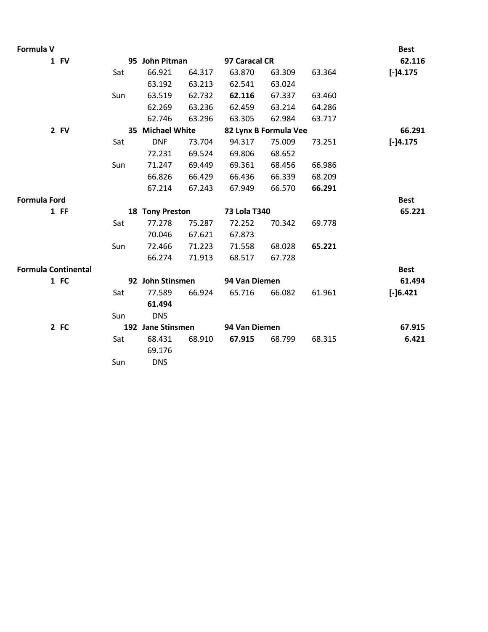| Formula V                  |     |                   |        |               |                       |        | <b>Best</b> |
|----------------------------|-----|-------------------|--------|---------------|-----------------------|--------|-------------|
| 1 FV                       |     | 95 John Pitman    |        | 97 Caracal CR |                       |        | 62.116      |
|                            | Sat | 66.921            | 64.317 | 63.870        | 63.309                | 63.364 | $[-]4.175$  |
|                            |     | 63.192            | 63.213 | 62.541        | 63.024                |        |             |
|                            | Sun | 63.519            | 62.732 | 62.116        | 67.337                | 63.460 |             |
|                            |     | 62.269            | 63.236 | 62.459        | 63.214                | 64.286 |             |
|                            |     | 62.746            | 63.296 | 63.305        | 62.984                | 63.717 |             |
| 2 FV                       |     | 35 Michael White  |        |               | 82 Lynx B Formula Vee |        | 66.291      |
|                            | Sat | <b>DNF</b>        | 73.704 | 94.317        | 75.009                | 73.251 | $[-]4.175$  |
|                            |     | 72.231            | 69.524 | 69.806        | 68.652                |        |             |
|                            | Sun | 71.247            | 69.449 | 69.361        | 68.456                | 66.986 |             |
|                            |     | 66.826            | 66.429 | 66.436        | 66.339                | 68.209 |             |
|                            |     | 67.214            | 67.243 | 67.949        | 66.570                | 66.291 |             |
| <b>Formula Ford</b>        |     |                   |        |               |                       |        | <b>Best</b> |
| $1$ FF                     |     | 18 Tony Preston   |        | 73 Lola T340  |                       |        | 65.221      |
|                            | Sat | 77.278            | 75.287 | 72.252        | 70.342                | 69.778 |             |
|                            |     | 70.046            | 67.621 | 67.873        |                       |        |             |
|                            | Sun | 72.466            | 71.223 | 71.558        | 68.028                | 65.221 |             |
|                            |     | 66.274            | 71.913 | 68.517        | 67.728                |        |             |
| <b>Formula Continental</b> |     |                   |        |               |                       |        | <b>Best</b> |
| 1 FC                       |     | 92 John Stinsmen  |        | 94 Van Diemen |                       |        | 61.494      |
|                            | Sat | 77.589            | 66.924 | 65.716        | 66.082                | 61.961 | $[-] 6.421$ |
|                            |     | 61.494            |        |               |                       |        |             |
|                            | Sun | <b>DNS</b>        |        |               |                       |        |             |
| 2 FC                       |     | 192 Jane Stinsmen |        | 94 Van Diemen |                       |        | 67.915      |
|                            | Sat | 68.431            | 68.910 | 67.915        | 68.799                | 68.315 | 6.421       |
|                            |     | 69.176            |        |               |                       |        |             |
|                            | Sun | <b>DNS</b>        |        |               |                       |        |             |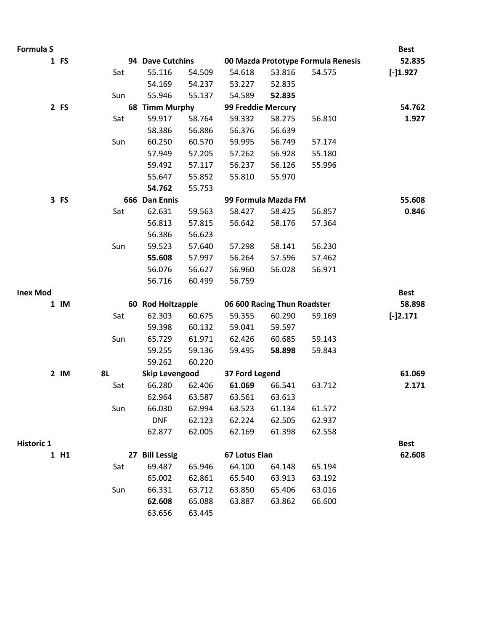| Formula S         |           |           |                       |        |                    |                             |                                    | <b>Best</b> |
|-------------------|-----------|-----------|-----------------------|--------|--------------------|-----------------------------|------------------------------------|-------------|
|                   | 1 FS      |           | 94 Dave Cutchins      |        |                    |                             | 00 Mazda Prototype Formula Renesis | 52.835      |
|                   |           | Sat       | 55.116                | 54.509 | 54.618             | 53.816                      | 54.575                             | $[-]1.927$  |
|                   |           |           | 54.169                | 54.237 | 53.227             | 52.835                      |                                    |             |
|                   |           | Sun       | 55.946                | 55.137 | 54.589             | 52.835                      |                                    |             |
|                   | 2 FS      |           | 68 Timm Murphy        |        | 99 Freddie Mercury |                             |                                    | 54.762      |
|                   |           | Sat       | 59.917                | 58.764 | 59.332             | 58.275                      | 56.810                             | 1.927       |
|                   |           |           | 58.386                | 56.886 | 56.376             | 56.639                      |                                    |             |
|                   |           | Sun       | 60.250                | 60.570 | 59.995             | 56.749                      | 57.174                             |             |
|                   |           |           | 57.949                | 57.205 | 57.262             | 56.928                      | 55.180                             |             |
|                   |           |           | 59.492                | 57.117 | 56.237             | 56.126                      | 55.996                             |             |
|                   |           |           | 55.647                | 55.852 | 55.810             | 55.970                      |                                    |             |
|                   |           |           | 54.762                | 55.753 |                    |                             |                                    |             |
|                   | 3 FS      |           | 666 Dan Ennis         |        |                    | 99 Formula Mazda FM         |                                    | 55.608      |
|                   |           | Sat       | 62.631                | 59.563 | 58.427             | 58.425                      | 56.857                             | 0.846       |
|                   |           |           | 56.813                | 57.815 | 56.642             | 58.176                      | 57.364                             |             |
|                   |           |           | 56.386                | 56.623 |                    |                             |                                    |             |
|                   |           | Sun       | 59.523                | 57.640 | 57.298             | 58.141                      | 56.230                             |             |
|                   |           |           | 55.608                | 57.997 | 56.264             | 57.596                      | 57.462                             |             |
|                   |           |           | 56.076                | 56.627 | 56.960             | 56.028                      | 56.971                             |             |
|                   |           |           | 56.716                | 60.499 | 56.759             |                             |                                    |             |
| <b>Inex Mod</b>   |           |           |                       |        |                    |                             |                                    | <b>Best</b> |
|                   | $1 \,$ IM |           | 60 Rod Holtzapple     |        |                    | 06 600 Racing Thun Roadster |                                    | 58.898      |
|                   |           | Sat       | 62.303                | 60.675 | 59.355             | 60.290                      | 59.169                             | $[-]2.171$  |
|                   |           |           | 59.398                | 60.132 | 59.041             | 59.597                      |                                    |             |
|                   |           | Sun       | 65.729                | 61.971 | 62.426             | 60.685                      | 59.143                             |             |
|                   |           |           | 59.255                | 59.136 | 59.495             | 58.898                      | 59.843                             |             |
|                   |           |           | 59.262                | 60.220 |                    |                             |                                    |             |
|                   | $2$ IM    | <b>8L</b> | <b>Skip Levengood</b> |        | 37 Ford Legend     |                             |                                    | 61.069      |
|                   |           | Sat       | 66.280                | 62.406 | 61.069             | 66.541                      | 63.712                             | 2.171       |
|                   |           |           | 62.964                | 63.587 | 63.561             | 63.613                      |                                    |             |
|                   |           | Sun       | 66.030                | 62.994 | 63.523             | 61.134                      | 61.572                             |             |
|                   |           |           | <b>DNF</b>            | 62.123 | 62.224             | 62.505                      | 62.937                             |             |
|                   |           |           | 62.877                | 62.005 | 62.169             | 61.398                      | 62.558                             |             |
| <b>Historic 1</b> |           |           |                       |        |                    |                             |                                    | <b>Best</b> |
|                   | 1 H1      |           | 27 Bill Lessig        |        | 67 Lotus Elan      |                             |                                    | 62.608      |
|                   |           | Sat       | 69.487                | 65.946 | 64.100             | 64.148                      | 65.194                             |             |
|                   |           |           | 65.002                | 62.861 | 65.540             | 63.913                      | 63.192                             |             |
|                   |           | Sun       | 66.331                | 63.712 | 63.850             | 65.406                      | 63.016                             |             |
|                   |           |           | 62.608                | 65.088 | 63.887             | 63.862                      | 66.600                             |             |
|                   |           |           | 63.656                | 63.445 |                    |                             |                                    |             |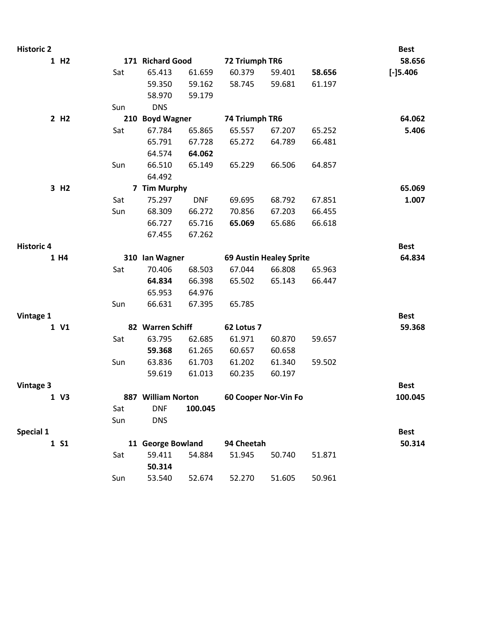| <b>Historic 2</b> |                  |     |                    |            |                      |                                |        | <b>Best</b> |
|-------------------|------------------|-----|--------------------|------------|----------------------|--------------------------------|--------|-------------|
|                   | 1 H <sub>2</sub> |     | 171 Richard Good   |            | 72 Triumph TR6       |                                |        | 58.656      |
|                   |                  | Sat | 65.413             | 61.659     | 60.379               | 59.401                         | 58.656 | $[-]$ 5.406 |
|                   |                  |     | 59.350             | 59.162     | 58.745               | 59.681                         | 61.197 |             |
|                   |                  |     | 58.970             | 59.179     |                      |                                |        |             |
|                   |                  | Sun | <b>DNS</b>         |            |                      |                                |        |             |
|                   | 2 H <sub>2</sub> |     | 210 Boyd Wagner    |            | 74 Triumph TR6       |                                |        | 64.062      |
|                   |                  | Sat | 67.784             | 65.865     | 65.557               | 67.207                         | 65.252 | 5.406       |
|                   |                  |     | 65.791             | 67.728     | 65.272               | 64.789                         | 66.481 |             |
|                   |                  |     | 64.574             | 64.062     |                      |                                |        |             |
|                   |                  | Sun | 66.510             | 65.149     | 65.229               | 66.506                         | 64.857 |             |
|                   |                  |     | 64.492             |            |                      |                                |        |             |
|                   | 3 H <sub>2</sub> |     | 7 Tim Murphy       |            |                      |                                |        | 65.069      |
|                   |                  | Sat | 75.297             | <b>DNF</b> | 69.695               | 68.792                         | 67.851 | 1.007       |
|                   |                  | Sun | 68.309             | 66.272     | 70.856               | 67.203                         | 66.455 |             |
|                   |                  |     | 66.727             | 65.716     | 65.069               | 65.686                         | 66.618 |             |
|                   |                  |     | 67.455             | 67.262     |                      |                                |        |             |
| <b>Historic 4</b> |                  |     |                    |            |                      |                                |        | <b>Best</b> |
|                   | 1 H4             |     | 310 Ian Wagner     |            |                      | <b>69 Austin Healey Sprite</b> |        | 64.834      |
|                   |                  | Sat | 70.406             | 68.503     | 67.044               | 66.808                         | 65.963 |             |
|                   |                  |     | 64.834             | 66.398     | 65.502               | 65.143                         | 66.447 |             |
|                   |                  |     | 65.953             | 64.976     |                      |                                |        |             |
|                   |                  | Sun | 66.631             | 67.395     | 65.785               |                                |        |             |
| Vintage 1         |                  |     |                    |            |                      |                                |        | <b>Best</b> |
|                   | 1 V1             |     | 82 Warren Schiff   |            | 62 Lotus 7           |                                |        | 59.368      |
|                   |                  | Sat | 63.795             | 62.685     | 61.971               | 60.870                         | 59.657 |             |
|                   |                  |     | 59.368             | 61.265     | 60.657               | 60.658                         |        |             |
|                   |                  | Sun | 63.836             | 61.703     | 61.202               | 61.340                         | 59.502 |             |
|                   |                  |     | 59.619             | 61.013     | 60.235               | 60.197                         |        |             |
| <b>Vintage 3</b>  |                  |     |                    |            |                      |                                |        | <b>Best</b> |
|                   | 1 V3             |     | 887 William Norton |            | 60 Cooper Nor-Vin Fo |                                |        | 100.045     |
|                   |                  | Sat | <b>DNF</b>         | 100.045    |                      |                                |        |             |
|                   |                  | Sun | <b>DNS</b>         |            |                      |                                |        |             |
| Special 1         |                  |     |                    |            |                      |                                |        | <b>Best</b> |
|                   | 1 S1             |     | 11 George Bowland  |            | 94 Cheetah           |                                |        | 50.314      |
|                   |                  | Sat | 59.411             | 54.884     | 51.945               | 50.740                         | 51.871 |             |
|                   |                  |     | 50.314             |            |                      |                                |        |             |
|                   |                  | Sun | 53.540             | 52.674     | 52.270               | 51.605                         | 50.961 |             |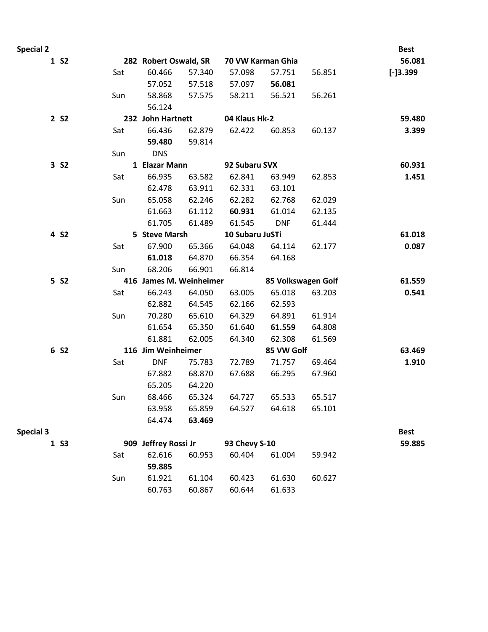| <b>Special 2</b> |                  |     |                         |        |                   |                    |        | <b>Best</b> |
|------------------|------------------|-----|-------------------------|--------|-------------------|--------------------|--------|-------------|
|                  | 1 S <sub>2</sub> |     | 282 Robert Oswald, SR   |        | 70 VW Karman Ghia |                    |        | 56.081      |
|                  |                  | Sat | 60.466                  | 57.340 | 57.098            | 57.751             | 56.851 | $[-]3.399$  |
|                  |                  |     | 57.052                  | 57.518 | 57.097            | 56.081             |        |             |
|                  |                  | Sun | 58.868                  | 57.575 | 58.211            | 56.521             | 56.261 |             |
|                  |                  |     | 56.124                  |        |                   |                    |        |             |
|                  | 2 S <sub>2</sub> |     | 232 John Hartnett       |        | 04 Klaus Hk-2     |                    |        | 59.480      |
|                  |                  | Sat | 66.436                  | 62.879 | 62.422            | 60.853             | 60.137 | 3.399       |
|                  |                  |     | 59.480                  | 59.814 |                   |                    |        |             |
|                  |                  | Sun | <b>DNS</b>              |        |                   |                    |        |             |
|                  | 3 S <sub>2</sub> |     | 1 Elazar Mann           |        | 92 Subaru SVX     |                    |        | 60.931      |
|                  |                  | Sat | 66.935                  | 63.582 | 62.841            | 63.949             | 62.853 | 1.451       |
|                  |                  |     | 62.478                  | 63.911 | 62.331            | 63.101             |        |             |
|                  |                  | Sun | 65.058                  | 62.246 | 62.282            | 62.768             | 62.029 |             |
|                  |                  |     | 61.663                  | 61.112 | 60.931            | 61.014             | 62.135 |             |
|                  |                  |     | 61.705                  | 61.489 | 61.545            | <b>DNF</b>         | 61.444 |             |
|                  | 4 S <sub>2</sub> |     | 5 Steve Marsh           |        | 10 Subaru JuSTi   |                    |        | 61.018      |
|                  |                  | Sat | 67.900                  | 65.366 | 64.048            | 64.114             | 62.177 | 0.087       |
|                  |                  |     | 61.018                  | 64.870 | 66.354            | 64.168             |        |             |
|                  |                  | Sun | 68.206                  | 66.901 | 66.814            |                    |        |             |
|                  | 5 S <sub>2</sub> |     | 416 James M. Weinheimer |        |                   | 85 Volkswagen Golf |        | 61.559      |
|                  |                  | Sat | 66.243                  | 64.050 | 63.005            | 65.018             | 63.203 | 0.541       |
|                  |                  |     | 62.882                  | 64.545 | 62.166            | 62.593             |        |             |
|                  |                  | Sun | 70.280                  | 65.610 | 64.329            | 64.891             | 61.914 |             |
|                  |                  |     | 61.654                  | 65.350 | 61.640            | 61.559             | 64.808 |             |
|                  |                  |     | 61.881                  | 62.005 | 64.340            | 62.308             | 61.569 |             |
|                  | 6 S2             |     | 116 Jim Weinheimer      |        |                   | 85 VW Golf         |        | 63.469      |
|                  |                  | Sat | <b>DNF</b>              | 75.783 | 72.789            | 71.757             | 69.464 | 1.910       |
|                  |                  |     | 67.882                  | 68.870 | 67.688            | 66.295             | 67.960 |             |
|                  |                  |     | 65.205                  | 64.220 |                   |                    |        |             |
|                  |                  | Sun | 68.466                  | 65.324 | 64.727            | 65.533             | 65.517 |             |
|                  |                  |     | 63.958                  | 65.859 | 64.527            | 64.618             | 65.101 |             |
|                  |                  |     | 64.474                  | 63.469 |                   |                    |        |             |
| <b>Special 3</b> |                  |     |                         |        |                   |                    |        | <b>Best</b> |
|                  | 1 S3             |     | 909 Jeffrey Rossi Jr    |        | 93 Chevy S-10     |                    |        | 59.885      |
|                  |                  | Sat | 62.616                  | 60.953 | 60.404            | 61.004             | 59.942 |             |
|                  |                  |     | 59.885                  |        |                   |                    |        |             |
|                  |                  | Sun | 61.921                  | 61.104 | 60.423            | 61.630             | 60.627 |             |
|                  |                  |     | 60.763                  | 60.867 | 60.644            | 61.633             |        |             |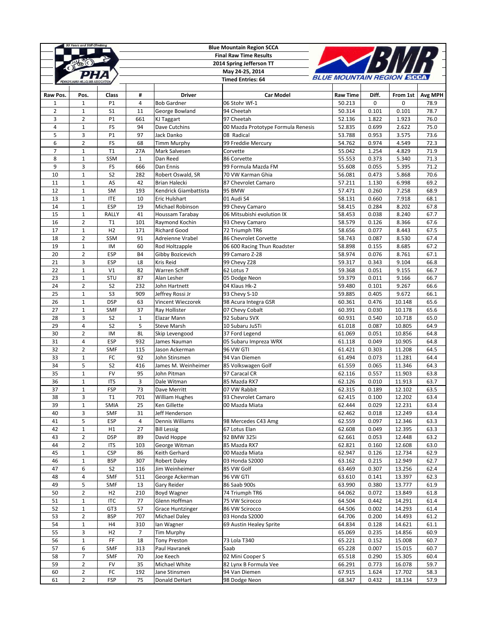|                | 55 Years and Still Climbing |                          |                |                                       | <b>Blue Mountain Region SCCA</b>   |                             |                |                  |         |
|----------------|-----------------------------|--------------------------|----------------|---------------------------------------|------------------------------------|-----------------------------|----------------|------------------|---------|
|                |                             |                          |                |                                       | <b>Final Raw Time Results</b>      |                             |                |                  |         |
|                |                             |                          |                |                                       | 2014 Spring Jefferson TT           |                             |                |                  |         |
|                |                             |                          |                |                                       | May 24-25, 2014                    |                             |                |                  |         |
|                |                             |                          |                |                                       | <b>Timed Entries: 64</b>           | <b>BLUE MOUNTAIN REGION</b> |                |                  |         |
|                |                             |                          |                |                                       |                                    |                             |                |                  |         |
| Raw Pos.       | Pos.                        | Class                    | #              | <b>Driver</b>                         | <b>Car Model</b>                   | <b>Raw Time</b>             | Diff.          | From 1st         | Avg MPH |
| $\mathbf{1}$   | $\mathbf{1}$                | P1                       | $\overline{4}$ | <b>Bob Gardner</b>                    | 06 Stohr Wf-1                      | 50.213                      | 0              | 0                | 78.9    |
| $\overline{2}$ | $\mathbf{1}$                | S <sub>1</sub>           | 11             | George Bowland                        | 94 Cheetah                         | 50.314                      | 0.101          | 0.101            | 78.7    |
| 3              | $\overline{2}$              | P1                       | 661            | KJ Taggart                            | 97 Cheetah                         | 52.136                      | 1.822          | 1.923            | 76.0    |
| $\overline{4}$ | $\mathbf 1$                 | FS                       | 94             | Dave Cutchins                         | 00 Mazda Prototype Formula Renesis | 52.835                      | 0.699          | 2.622            | 75.0    |
| 5              | 3                           | P1                       | 97             | Jack Danko                            | 08 Radical                         | 53.788                      | 0.953          | 3.575            | 73.6    |
| 6              | $\overline{2}$              | FS                       | 68             | <b>Timm Murphy</b>                    | 99 Freddie Mercury                 | 54.762                      | 0.974          | 4.549            | 72.3    |
| $\overline{7}$ | $\,1\,$                     | T1                       | 27A            | Mark Salvesen                         | Corvette                           | 55.042                      | 1.254          | 4.829            | 71.9    |
| 8              | $\mathbf{1}$                | SSM                      | $\mathbf{1}$   | Dan Reed                              | 86 Corvette                        | 55.553                      | 0.373          | 5.340            | 71.3    |
| 9              | 3                           | FS                       | 666            | Dan Ennis                             | 99 Formula Mazda FM                | 55.608                      | 0.055          | 5.395            | 71.2    |
| 10             | $\,1\,$                     | S <sub>2</sub>           | 282            | Robert Oswald, SR                     | 70 VW Karman Ghia                  | 56.081                      | 0.473          | 5.868            | 70.6    |
| 11             | $\mathbf{1}$                | AS                       | 42             | Brian Halecki                         | 87 Chevrolet Camaro                | 57.211                      | 1.130          | 6.998            | 69.2    |
| 12             | $\mathbf{1}$                | <b>SM</b>                | 193            | Kendrick Giambattista                 | 95 BMW                             | 57.471                      | 0.260          | 7.258            | 68.9    |
| 13             | $\mathbf{1}$                | <b>ITE</b>               | 10             | Eric Hulshart                         | 01 Audi S4                         | 58.131                      | 0.660          | 7.918            | 68.1    |
| 14             | $\mathbf{1}$                | <b>ESP</b>               | 19             | Michael Robinson                      | 99 Chevy Camaro                    | 58.415                      | 0.284          | 8.202            | 67.8    |
| 15             | $\mathbf{1}$                | RALLY                    | 41             | Houssam Tarabay                       | 06 Mitsubishi evolution IX         | 58.453                      | 0.038          | 8.240            | 67.7    |
| 16             | $\overline{2}$              | T1                       | 101            | Raymond Kochin                        | 93 Chevy Camaro                    | 58.579                      | 0.126          | 8.366            | 67.6    |
| 17             | $\mathbf{1}$                | H2                       | 171            | <b>Richard Good</b>                   | 72 Triumph TR6                     | 58.656                      | 0.077          | 8.443            | 67.5    |
| 18             | $\overline{2}$              | SSM                      | 91             | Adreienne Vrabel                      | 86 Chevrolet Corvette              | 58.743                      | 0.087          | 8.530            | 67.4    |
| 19             | $\,1\,$                     | IM                       | 60             | Rod Holtzapple                        | 06 600 Racing Thun Roadster        | 58.898                      | 0.155          | 8.685            | 67.2    |
| 20             | $\overline{2}$              | <b>ESP</b>               | <b>B4</b>      | Gibby Bozicevich                      | 99 Camaro Z-28                     | 58.974                      | 0.076          | 8.761            | 67.1    |
| 21             | 3                           | <b>ESP</b>               | L8             | Kris Reid                             | 99 Chevy Z28                       | 59.317                      | 0.343          | 9.104            | 66.8    |
| 22             | $\mathbf 1$                 | V1                       | 82             | Warren Schiff                         | 62 Lotus 7                         | 59.368                      | 0.051          | 9.155            | 66.7    |
| 23             | $\mathbf{1}$                | STU                      | 87             | Alan Lesher                           | 05 Dodge Neon                      | 59.379                      | 0.011          | 9.166            | 66.7    |
| 24             | $\overline{2}$              | S <sub>2</sub>           | 232            | John Hartnett                         | 04 Klaus Hk-2                      | 59.480                      | 0.101          | 9.267            | 66.6    |
| 25             | $\mathbf 1$                 | S <sub>3</sub>           | 909            | Jeffrey Rossi Jr                      | 93 Chevy S-10                      | 59.885                      | 0.405          | 9.672            | 66.1    |
| 26             | $\mathbf{1}$                | <b>DSP</b>               | 63             | Vincent Wieczorek                     | 98 Acura Integra GSR               | 60.361                      | 0.476          | 10.148           | 65.6    |
| 27             | $1\,$                       | <b>SMF</b>               | 37             | Ray Hollister                         | 07 Chevy Cobalt                    | 60.391                      | 0.030          | 10.178           | 65.6    |
| 28             | 3                           | S <sub>2</sub>           | $1\,$          | Elazar Mann                           | 92 Subaru SVX                      | 60.931                      | 0.540          | 10.718           | 65.0    |
| 29             | $\overline{4}$              | S <sub>2</sub>           | 5              | <b>Steve Marsh</b>                    | 10 Subaru JuSTi                    | 61.018                      | 0.087          | 10.805           | 64.9    |
| 30             | $\overline{2}$              | IM                       | 8L             | Skip Levengood                        | 37 Ford Legend                     | 61.069                      | 0.051          | 10.856           | 64.8    |
| 31             | $\overline{\mathbf{4}}$     | <b>ESP</b>               | 932            | James Nauman                          | 05 Subaru Impreza WRX              | 61.118                      | 0.049          | 10.905           | 64.8    |
| 32             | $\overline{2}$              | <b>SMF</b>               | 115            | Jason Ackerman                        | 96 VW GTI                          | 61.421                      | 0.303          | 11.208           | 64.5    |
| 33             | $\mathbf{1}$                | FC                       | 92             | John Stinsmen                         | 94 Van Diemen                      | 61.494                      | 0.073          | 11.281           | 64.4    |
| 34             | 5                           | S <sub>2</sub>           | 416            | James M. Weinheimer                   | 85 Volkswagen Golf                 | 61.559                      | 0.065          | 11.346           | 64.3    |
| 35             | $\mathbf 1$                 | <b>FV</b>                | 95             | John Pitman                           | 97 Caracal CR                      | 62.116                      | 0.557          | 11.903           | 63.8    |
| 36             | $\mathbf{1}$                | <b>ITS</b>               | 3              | Dale Witman                           | 85 Mazda RX7                       | 62.126                      | 0.010          | 11.913           | 63.7    |
| 37             | $\mathbf{1}$                | <b>FSP</b>               | 73             | Dave Merritt                          | 07 VW Rabbit                       | 62.315                      | 0.189          | 12.102           | 63.5    |
| 38             | 3                           | T1                       | 701            |                                       | 93 Chevrolet Camaro                |                             |                | 12.202           | 63.4    |
| 39             |                             | <b>SMIA</b>              | 25             | <b>William Hughes</b><br>Ken Gillette | 00 Mazda Miata                     | 62.415<br>62.444            | 0.100<br>0.029 | 12.231           | 63.4    |
| 40             | $\mathbf{1}$                |                          |                | Jeff Henderson                        |                                    |                             |                |                  |         |
| 41             | 3<br>5                      | <b>SMF</b><br><b>ESP</b> | 31<br>4        | Dennis Williams                       | 98 Mercedes C43 Amg                | 62.462<br>62.559            | 0.018<br>0.097 | 12.249<br>12.346 | 63.4    |
|                |                             |                          |                |                                       | 67 Lotus Elan                      |                             |                |                  | 63.3    |
| 42             | $\,1\,$                     | H1                       | 27             | <b>Bill Lessig</b>                    |                                    | 62.608                      | 0.049          | 12.395           | 63.3    |
| 43             | $\overline{2}$              | <b>DSP</b>               | 89             | David Hoppe                           | 92 BMW 325i                        | 62.661                      | 0.053          | 12.448           | 63.2    |
| 44             | $\overline{2}$              | <b>ITS</b>               | 103            | George Witman                         | 85 Mazda RX7                       | 62.821                      | 0.160          | 12.608           | 63.0    |
| 45             | $1\,$                       | <b>CSP</b>               | 86             | Keith Gerhard                         | 00 Mazda Miata                     | 62.947                      | 0.126          | 12.734           | 62.9    |
| 46             | $\mathbf{1}$                | <b>BSP</b>               | 307            | <b>Robert Daley</b>                   | 03 Honda S2000                     | 63.162                      | 0.215          | 12.949           | 62.7    |
| 47             | 6                           | S <sub>2</sub>           | 116            | Jim Weinheimer                        | 85 VW Golf                         | 63.469                      | 0.307          | 13.256           | 62.4    |
| 48             | $\overline{\mathbf{4}}$     | <b>SMF</b>               | 511            | George Ackerman                       | 96 VW GTI                          | 63.610                      | 0.141          | 13.397           | 62.3    |
| 49             | 5                           | <b>SMF</b>               | 13             | Gary Reider                           | 86 Saab 900s                       | 63.990                      | 0.380          | 13.777           | 61.9    |
| 50             | $\mathbf 2$                 | H <sub>2</sub>           | 210            | Boyd Wagner                           | 74 Triumph TR6                     | 64.062                      | 0.072          | 13.849           | 61.8    |
| 51             | $\mathbf{1}$                | <b>ITC</b>               | 77             | Glenn Hoffman                         | 75 VW Scirocco                     | 64.504                      | 0.442          | 14.291           | 61.4    |
| 52             | $\mathbf 1$                 | GT3                      | 57             | <b>Grace Huntzinger</b>               | 86 VW Scirocco                     | 64.506                      | 0.002          | 14.293           | 61.4    |
| 53             | $\mathbf 2$                 | <b>BSP</b>               | 707            | <b>Michael Daley</b>                  | 03 Honda S2000                     | 64.706                      | 0.200          | 14.493           | 61.2    |
| 54             | $\mathbf 1$                 | H4                       | 310            | lan Wagner                            | 69 Austin Healey Sprite            | 64.834                      | 0.128          | 14.621           | 61.1    |
| 55             | 3                           | H <sub>2</sub>           | 7              | <b>Tim Murphy</b>                     |                                    | 65.069                      | 0.235          | 14.856           | 60.9    |
| 56             | $\mathbf 1$                 | FF                       | 18             | <b>Tony Preston</b>                   | 73 Lola T340                       | 65.221                      | 0.152          | 15.008           | 60.7    |
| 57             | 6                           | <b>SMF</b>               | 313            | Paul Havranek                         | Saab                               | 65.228                      | 0.007          | 15.015           | 60.7    |
| 58             | $\overline{7}$              | <b>SMF</b>               | 70             | Joe Keech                             | 02 Mini Cooper S                   | 65.518                      | 0.290          | 15.305           | 60.4    |
| 59             | $\overline{2}$              | FV                       | 35             | Michael White                         | 82 Lynx B Formula Vee              | 66.291                      | 0.773          | 16.078           | 59.7    |
| 60             | $\overline{2}$              | FC                       | 192            | Jane Stinsmen                         | 94 Van Diemen                      | 67.915                      | 1.624          | 17.702           | 58.3    |
| 61             | $\overline{2}$              | FSP                      | 75             | Donald DeHart                         | 98 Dodge Neon                      | 68.347                      | 0.432          | 18.134           | 57.9    |